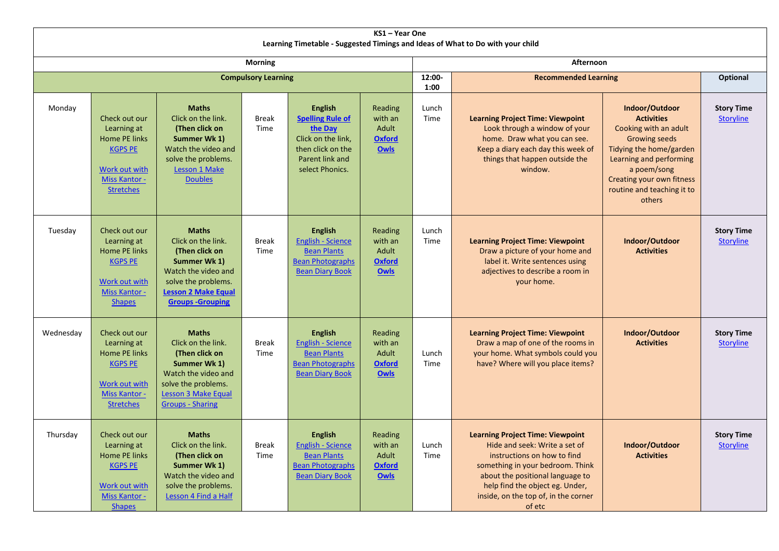| KS1 - Year One<br>Learning Timetable - Suggested Timings and Ideas of What to Do with your child |                                                                                                                                  |                                                                                                                                                                             |                      |                                                                                                                                       |                                                             |                |                                                                                                                                                                                                                                                                      |                                                                                                                                                                                                                                |                                       |  |  |  |
|--------------------------------------------------------------------------------------------------|----------------------------------------------------------------------------------------------------------------------------------|-----------------------------------------------------------------------------------------------------------------------------------------------------------------------------|----------------------|---------------------------------------------------------------------------------------------------------------------------------------|-------------------------------------------------------------|----------------|----------------------------------------------------------------------------------------------------------------------------------------------------------------------------------------------------------------------------------------------------------------------|--------------------------------------------------------------------------------------------------------------------------------------------------------------------------------------------------------------------------------|---------------------------------------|--|--|--|
| <b>Morning</b>                                                                                   |                                                                                                                                  |                                                                                                                                                                             |                      |                                                                                                                                       |                                                             | Afternoon      |                                                                                                                                                                                                                                                                      |                                                                                                                                                                                                                                |                                       |  |  |  |
| <b>Compulsory Learning</b>                                                                       |                                                                                                                                  |                                                                                                                                                                             |                      |                                                                                                                                       |                                                             | 12:00-<br>1:00 | <b>Recommended Learning</b>                                                                                                                                                                                                                                          |                                                                                                                                                                                                                                | <b>Optional</b>                       |  |  |  |
| Monday                                                                                           | Check out our<br>Learning at<br>Home PE links<br><b>KGPS PE</b><br>Work out with<br><b>Miss Kantor -</b><br><b>Stretches</b>     | <b>Maths</b><br>Click on the link.<br>(Then click on<br>Summer Wk 1)<br>Watch the video and<br>solve the problems.<br><b>Lesson 1 Make</b><br><b>Doubles</b>                | <b>Break</b><br>Time | <b>English</b><br><b>Spelling Rule of</b><br>the Day<br>Click on the link,<br>then click on the<br>Parent link and<br>select Phonics. | Reading<br>with an<br>Adult<br><b>Oxford</b><br><b>Owls</b> | Lunch<br>Time  | <b>Learning Project Time: Viewpoint</b><br>Look through a window of your<br>home. Draw what you can see.<br>Keep a diary each day this week of<br>things that happen outside the<br>window.                                                                          | Indoor/Outdoor<br><b>Activities</b><br>Cooking with an adult<br><b>Growing seeds</b><br>Tidying the home/garden<br>Learning and performing<br>a poem/song<br>Creating your own fitness<br>routine and teaching it to<br>others | <b>Story Time</b><br><b>Storyline</b> |  |  |  |
| Tuesday                                                                                          | Check out our<br>Learning at<br><b>Home PE links</b><br><b>KGPS PE</b><br>Work out with<br>Miss Kantor -<br><b>Shapes</b>        | <b>Maths</b><br>Click on the link.<br>(Then click on<br>Summer Wk 1)<br>Watch the video and<br>solve the problems.<br><b>Lesson 2 Make Equal</b><br><b>Groups-Grouping</b>  | <b>Break</b><br>Time | <b>English</b><br><b>English - Science</b><br><b>Bean Plants</b><br><b>Bean Photographs</b><br><b>Bean Diary Book</b>                 | Reading<br>with an<br>Adult<br><b>Oxford</b><br>Owls        | Lunch<br>Time  | <b>Learning Project Time: Viewpoint</b><br>Draw a picture of your home and<br>label it. Write sentences using<br>adjectives to describe a room in<br>your home.                                                                                                      | Indoor/Outdoor<br><b>Activities</b>                                                                                                                                                                                            | <b>Story Time</b><br><b>Storyline</b> |  |  |  |
| Wednesday                                                                                        | Check out our<br>Learning at<br>Home PE links<br><b>KGPS PE</b><br>Work out with<br><b>Miss Kantor -</b><br><b>Stretches</b>     | <b>Maths</b><br>Click on the link.<br>(Then click on<br>Summer Wk 1)<br>Watch the video and<br>solve the problems.<br><b>Lesson 3 Make Equal</b><br><b>Groups - Sharing</b> | <b>Break</b><br>Time | <b>English</b><br><b>English - Science</b><br><b>Bean Plants</b><br><b>Bean Photographs</b><br><b>Bean Diary Book</b>                 | Reading<br>with an<br>Adult<br><b>Oxford</b><br><b>Owls</b> | Lunch<br>Time  | <b>Learning Project Time: Viewpoint</b><br>Draw a map of one of the rooms in<br>your home. What symbols could you<br>have? Where will you place items?                                                                                                               | Indoor/Outdoor<br><b>Activities</b>                                                                                                                                                                                            | <b>Story Time</b><br><b>Storyline</b> |  |  |  |
| Thursday                                                                                         | Check out our<br>Learning at<br>Home PE links<br><b>KGPS PE</b><br><b>Work out with</b><br><b>Miss Kantor -</b><br><b>Shapes</b> | <b>Maths</b><br>Click on the link.<br>(Then click on<br>Summer Wk 1)<br>Watch the video and<br>solve the problems.<br>Lesson 4 Find a Half                                  | <b>Break</b><br>Time | <b>English</b><br><b>English - Science</b><br><b>Bean Plants</b><br><b>Bean Photographs</b><br><b>Bean Diary Book</b>                 | Reading<br>with an<br>Adult<br><b>Oxford</b><br><b>Owls</b> | Lunch<br>Time  | <b>Learning Project Time: Viewpoint</b><br>Hide and seek: Write a set of<br>instructions on how to find<br>something in your bedroom. Think<br>about the positional language to<br>help find the object eg. Under,<br>inside, on the top of, in the corner<br>of etc | Indoor/Outdoor<br><b>Activities</b>                                                                                                                                                                                            | <b>Story Time</b><br><b>Storyline</b> |  |  |  |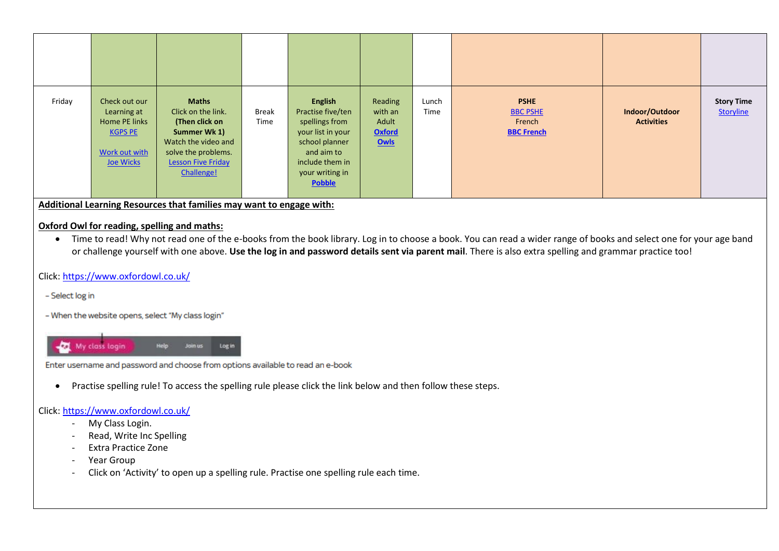| Friday | Check out our<br>Learning at<br>Home PE links<br><b>KGPS PE</b><br>Work out with<br>Joe Wicks | <b>Maths</b><br>Click on the link.<br>(Then click on<br>Summer Wk 1)<br>Watch the video and<br>solve the problems.<br><b>Lesson Five Friday</b><br>Challenge! | Break<br>Time | <b>English</b><br>Practise five/ten<br>spellings from<br>your list in your<br>school planner<br>and aim to<br>include them in<br>your writing in<br><b>Pobble</b> | Reading<br>with an<br>Adult<br><b>Oxford</b><br>Owls | Lunch<br>Time | <b>PSHE</b><br><b>BBC PSHE</b><br>French<br><b>BBC French</b> | Indoor/Outdoor<br><b>Activities</b> | <b>Story Time</b><br>Storyline |
|--------|-----------------------------------------------------------------------------------------------|---------------------------------------------------------------------------------------------------------------------------------------------------------------|---------------|-------------------------------------------------------------------------------------------------------------------------------------------------------------------|------------------------------------------------------|---------------|---------------------------------------------------------------|-------------------------------------|--------------------------------|

**Additional Learning Resources that families may want to engage with:**

#### **Oxford Owl for reading, spelling and maths:**

• Time to read! Why not read one of the e-books from the book library. Log in to choose a book. You can read a wider range of books and select one for your age band or challenge yourself with one above. **Use the log in and password details sent via parent mail**. There is also extra spelling and grammar practice too!

### Click[: https://www.oxfordowl.co.uk/](https://www.oxfordowl.co.uk/)

- Select log in

- When the website opens, select "My class login"



Enter username and password and choose from options available to read an e-book

Practise spelling rule! To access the spelling rule please click the link below and then follow these steps.

#### Click[: https://www.oxfordowl.co.uk/](https://www.oxfordowl.co.uk/)

- My Class Login.
- Read, Write Inc Spelling
- Extra Practice Zone
- Year Group
- Click on 'Activity' to open up a spelling rule. Practise one spelling rule each time.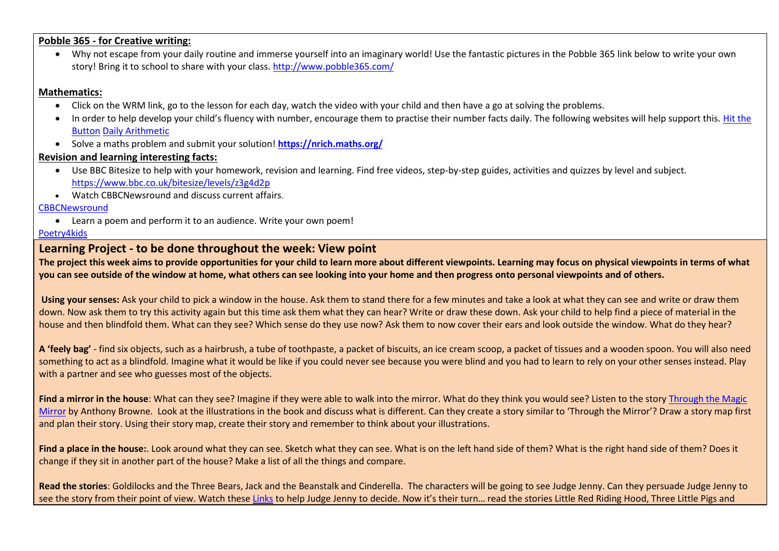#### **Pobble 365 - for Creative writing:**

 Why not escape from your daily routine and immerse yourself into an imaginary world! Use the fantastic pictures in the Pobble 365 link below to write your own story! Bring it to school to share with your class. <http://www.pobble365.com/>

## **Mathematics:**

- Click on the WRM link, go to the lesson for each day, watch the video with your child and then have a go at solving the problems.
- In order to help develop your child's fluency with number, encourage them to practise their number facts daily. The following websites will help support this. Hit the [Button](https://www.topmarks.co.uk/maths-games/hit-the-button) [Daily Arithmetic](https://www.topmarks.co.uk/maths-games/daily10)
- Solve a maths problem and submit your solution! **<https://nrich.maths.org/>**

# **Revision and learning interesting facts:**

- Use BBC Bitesize to help with your homework, revision and learning. Find free videos, step-by-step guides, activities and quizzes by level and subject. <https://www.bbc.co.uk/bitesize/levels/z3g4d2p>
- Watch CBBCNewsround and discuss current affairs.

### **[CBBCNewsround](https://www.bbc.co.uk/newsround)**

Learn a poem and perform it to an audience. Write your own poem!

### [Poetry4kids](https://www.poetry4kids.com/)

# **Learning Project - to be done throughout the week: View point**

**The project this week aims to provide opportunities for your child to learn more about different viewpoints. Learning may focus on physical viewpoints in terms of what you can see outside of the window at home, what others can see looking into your home and then progress onto personal viewpoints and of others.** 

**Using your senses:** Ask your child to pick a window in the house. Ask them to stand there for a few minutes and take a look at what they can see and write or draw them down. Now ask them to try this activity again but this time ask them what they can hear? Write or draw these down. Ask your child to help find a piece of material in the house and then blindfold them. What can they see? Which sense do they use now? Ask them to now cover their ears and look outside the window. What do they hear?

**A 'feely bag'** - find six objects, such as a hairbrush, a tube of toothpaste, a packet of biscuits, an ice cream scoop, a packet of tissues and a wooden spoon. You will also need something to act as a blindfold. Imagine what it would be like if you could never see because you were blind and you had to learn to rely on your other senses instead. Play with a partner and see who guesses most of the objects.

**Find a mirror in the house**: What can they see? Imagine if they were able to walk into the mirror. What do they think you would see? Listen to the story [Through the Magic](https://www.youtube.com/watch?v=Hwo36IjsB4o)  [Mirror](https://www.youtube.com/watch?v=Hwo36IjsB4o) by Anthony Browne. Look at the illustrations in the book and discuss what is different. Can they create a story similar to 'Through the Mirror'? Draw a story map first and plan their story. Using their story map, create their story and remember to think about your illustrations.

Find a place in the house:. Look around what they can see. Sketch what they can see. What is on the left hand side of them? What is the right hand side of them? Does it change if they sit in another part of the house? Make a list of all the things and compare.

**Read the stories**: Goldilocks and the Three Bears, Jack and the Beanstalk and Cinderella. The characters will be going to see Judge Jenny. Can they persuade Judge Jenny to see the story from their point of view. Watch these [Links](https://www.bbc.co.uk/bitesize/topics/zngg87h/) to help Judge Jenny to decide. Now it's their turn... read the stories Little Red Riding Hood, Three Little Pigs and